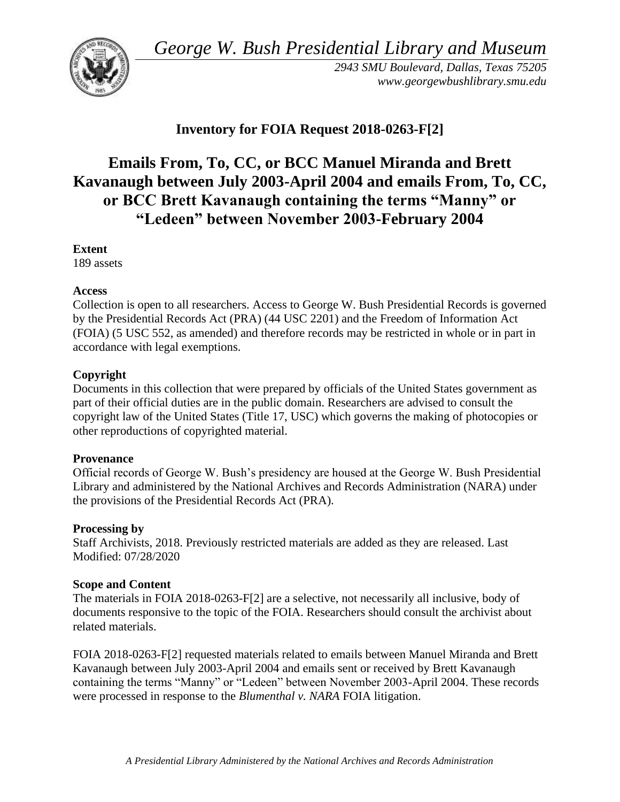*George W. Bush Presidential Library and Museum* 



*2943 SMU Boulevard, Dallas, Texas 75205 <www.georgewbushlibrary.smu.edu>*

# **Inventory for FOIA Request 2018-0263-F[2]**

# **Emails From, To, CC, or BCC Manuel Miranda and Brett Kavanaugh between July 2003-April 2004 and emails From, To, CC, or BCC Brett Kavanaugh containing the terms "Manny" or "Ledeen" between November 2003-February 2004**

### **Extent**

189 assets

### **Access**

Collection is open to all researchers. Access to George W. Bush Presidential Records is governed by the Presidential Records Act (PRA) (44 USC 2201) and the Freedom of Information Act (FOIA) (5 USC 552, as amended) and therefore records may be restricted in whole or in part in accordance with legal exemptions.

## **Copyright**

Documents in this collection that were prepared by officials of the United States government as part of their official duties are in the public domain. Researchers are advised to consult the copyright law of the United States (Title 17, USC) which governs the making of photocopies or other reproductions of copyrighted material.

### **Provenance**

Official records of George W. Bush's presidency are housed at the George W. Bush Presidential Library and administered by the National Archives and Records Administration (NARA) under the provisions of the Presidential Records Act (PRA).

### **Processing by**

Staff Archivists, 2018. Previously restricted materials are added as they are released. Last Modified: 07/28/2020

### **Scope and Content**

The materials in FOIA 2018-0263-F[2] are a selective, not necessarily all inclusive, body of documents responsive to the topic of the FOIA. Researchers should consult the archivist about related materials.

FOIA 2018-0263-F[2] requested materials related to emails between Manuel Miranda and Brett Kavanaugh between July 2003-April 2004 and emails sent or received by Brett Kavanaugh containing the terms "Manny" or "Ledeen" between November 2003-April 2004. These records were processed in response to the *Blumenthal v. NARA* FOIA litigation.